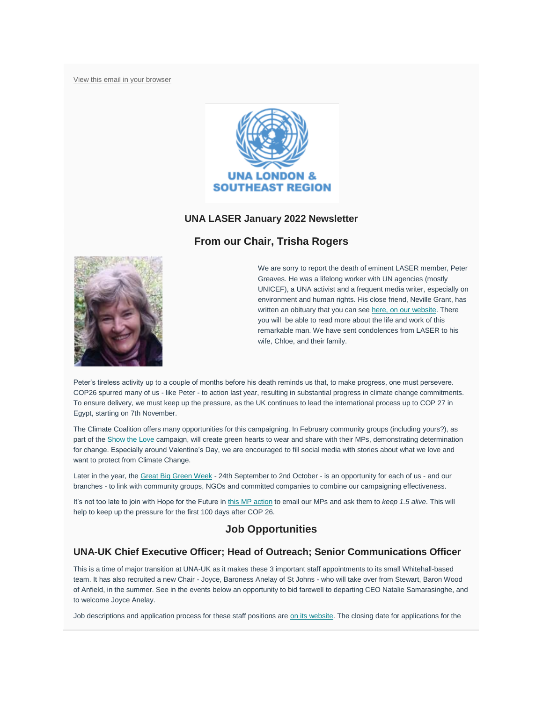[View this email in your browser](https://mailchi.mp/d1ffe67bf806/laser-newsletter-november-20099273?e=7b19b52a1f)



### **UNA LASER January 2022 Newsletter**

# **From our Chair, Trisha Rogers**



We are sorry to report the death of eminent LASER member, Peter Greaves. He was a lifelong worker with UN agencies (mostly UNICEF), a UNA activist and a frequent media writer, especially on environment and human rights. His close friend, Neville Grant, has written an obituary that you can see [here, on our website.](https://unalaser.org/wp-content/uploads/2022/01/Peter-Greaves-obit.pdf) There you will be able to read more about the life and work of this remarkable man. We have sent condolences from LASER to his wife, Chloe, and their family.

Peter's tireless activity up to a couple of months before his death reminds us that, to make progress, one must persevere. COP26 spurred many of us - like Peter - to action last year, resulting in substantial progress in climate change commitments. To ensure delivery, we must keep up the pressure, as the UK continues to lead the international process up to COP 27 in Egypt, starting on 7th November.

The Climate Coalition offers many opportunities for this campaigning. In February community groups (including yours?), as part of the [Show the Love](https://www.theclimatecoalition.org/show-the-love) campaign, will create green hearts to wear and share with their MPs, demonstrating determination for change. Especially around Valentine's Day, we are encouraged to fill social media with stories about what we love and want to protect from Climate Change.

Later in the year, the [Great Big Green Week](https://www.theclimatecoalition.org/great-big-green-week) - 24th September to 2nd October - is an opportunity for each of us - and our branches - to link with community groups, NGOs and committed companies to combine our campaigning effectiveness.

It's not too late to join with Hope for the Future in [this MP action](https://www.theclimatecoalition.org/take-action#emailmp) to email our MPs and ask them to *keep 1.5 alive*. This will help to keep up the pressure for the first 100 days after COP 26.

## **Job Opportunities**

## **UNA-UK Chief Executive Officer; Head of Outreach; Senior Communications Officer**

This is a time of major transition at UNA-UK as it makes these 3 important staff appointments to its small Whitehall-based team. It has also recruited a new Chair - Joyce, Baroness Anelay of St Johns - who will take over from Stewart, Baron Wood of Anfield, in the summer. See in the events below an opportunity to bid farewell to departing CEO Natalie Samarasinghe, and to welcome Joyce Anelay.

Job descriptions and application process for these staff positions are [on its website.](https://una.org.uk/who-we-are/work-us/vacancies) The closing date for applications for the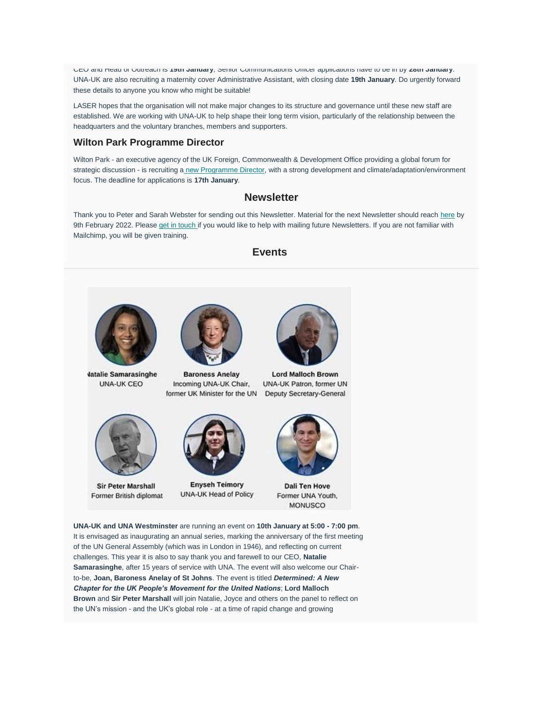CEO and Head of Outreach is **19th January**; Senior Communications Officer applications have to be in by **28th January**. UNA-UK are also recruiting a maternity cover Administrative Assistant, with closing date **19th January**. Do urgently forward these details to anyone you know who might be suitable!

LASER hopes that the organisation will not make major changes to its structure and governance until these new staff are established. We are working with UNA-UK to help shape their long term vision, particularly of the relationship between the headquarters and the voluntary branches, members and supporters.

### **Wilton Park Programme Director**

Wilton Park - an executive agency of the UK Foreign, Commonwealth & Development Office providing a global forum for strategic discussion - is recruiting a [new Programme Director,](https://www.wiltonpark.org.uk/careers/vacancies/programme-director/) with a strong development and climate/adaptation/environment focus. The deadline for applications is **17th January**.

## **Newsletter**

Thank you to Peter and Sarah Webster for sending out this Newsletter. Material for the next Newsletter should reach [here](mailto:contact@unalaser.org) by 9th February 2022. Please [get in touch](mailto:trisha_rogers@yahoo.com) if you would like to help with mailing future Newsletters. If you are not familiar with Mailchimp, you will be given training.

### **Events**



**Jatalie Samarasinghe UNA-UK CEO** 



**Sir Peter Marshall** Former British diplomat



**Baroness Anelay** Incoming UNA-UK Chair, former UK Minister for the UN



**Enyseh Teimory** UNA-UK Head of Policy



**Lord Malloch Brown** UNA-UK Patron, former UN Deputy Secretary-General



**Dali Ten Hove** Former UNA Youth, **MONUSCO** 

**UNA-UK and UNA Westminster** are running an event on **10th January at 5:00 - 7:00 pm**. It is envisaged as inaugurating an annual series, marking the anniversary of the first meeting of the UN General Assembly (which was in London in 1946), and reflecting on current challenges. This year it is also to say thank you and farewell to our CEO, **Natalie Samarasinghe**, after 15 years of service with UNA. The event will also welcome our Chairto-be, **Joan, Baroness Anelay of St Johns**. The event is titled *Determined: A New Chapter for the UK People's Movement for the United Nations*; **Lord Malloch Brown** and **Sir Peter Marshall** will join Natalie, Joyce and others on the panel to reflect on the UN's mission - and the UK's global role - at a time of rapid change and growing